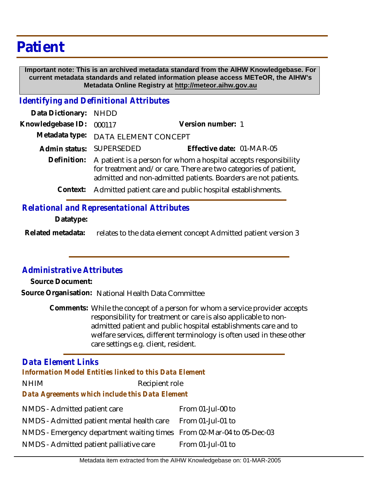## **Patient**

 **Important note: This is an archived metadata standard from the AIHW Knowledgebase. For current metadata standards and related information please access METeOR, the AIHW's Metadata Online Registry at http://meteor.aihw.gov.au**

*Identifying and Definitional Attributes*

| Data Dictionary: NHDD    |                                                                                                                                                                                                                   |                           |
|--------------------------|-------------------------------------------------------------------------------------------------------------------------------------------------------------------------------------------------------------------|---------------------------|
| Knowledgebase ID: 000117 |                                                                                                                                                                                                                   | Version number: 1         |
|                          | Metadata type: DATA ELEMENT CONCEPT                                                                                                                                                                               |                           |
|                          | Admin status: SUPERSEDED                                                                                                                                                                                          | Effective date: 01-MAR-05 |
|                          | Definition: A patient is a person for whom a hospital accepts responsibility<br>for treatment and/or care. There are two categories of patient,<br>admitted and non-admitted patients. Boarders are not patients. |                           |
| Context:                 | Admitted patient care and public hospital establishments.                                                                                                                                                         |                           |
|                          |                                                                                                                                                                                                                   |                           |

*Relational and Representational Attributes*

**Datatype:**

relates to the data element concept Admitted patient version 3 **Related metadata:**

## *Administrative Attributes*

**Source Document:**

**Source Organisation:** National Health Data Committee

Comments: While the concept of a person for whom a service provider accepts responsibility for treatment or care is also applicable to nonadmitted patient and public hospital establishments care and to welfare services, different terminology is often used in these other care settings e.g. client, resident.

## NHIM Recipient role NMDS - Admitted patient care NMDS - Admitted patient mental health care NMDS - Emergency department waiting times From 02-Mar-04 to 05-Dec-03 From 01-Jul-00 to From 01-Jul-01 to *Data Agreements which include this Data Element Data Element Links Information Model Entities linked to this Data Element*